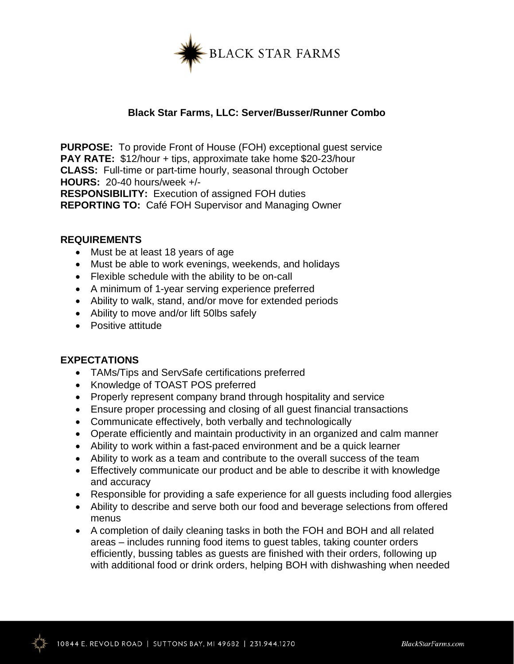

## **Black Star Farms, LLC: Server/Busser/Runner Combo**

**PURPOSE:** To provide Front of House (FOH) exceptional guest service **PAY RATE:** \$12/hour + tips, approximate take home \$20-23/hour **CLASS:** Full-time or part-time hourly, seasonal through October **HOURS:** 20-40 hours/week +/-

**RESPONSIBILITY:** Execution of assigned FOH duties **REPORTING TO:** Café FOH Supervisor and Managing Owner

## **REQUIREMENTS**

- Must be at least 18 years of age
- Must be able to work evenings, weekends, and holidays
- Flexible schedule with the ability to be on-call
- A minimum of 1-year serving experience preferred
- Ability to walk, stand, and/or move for extended periods
- Ability to move and/or lift 50lbs safely
- Positive attitude

## **EXPECTATIONS**

- TAMs/Tips and ServSafe certifications preferred
- Knowledge of TOAST POS preferred
- Properly represent company brand through hospitality and service
- Ensure proper processing and closing of all guest financial transactions
- Communicate effectively, both verbally and technologically
- Operate efficiently and maintain productivity in an organized and calm manner
- Ability to work within a fast-paced environment and be a quick learner
- Ability to work as a team and contribute to the overall success of the team
- Effectively communicate our product and be able to describe it with knowledge and accuracy
- Responsible for providing a safe experience for all guests including food allergies
- Ability to describe and serve both our food and beverage selections from offered menus
- A completion of daily cleaning tasks in both the FOH and BOH and all related areas – includes running food items to guest tables, taking counter orders efficiently, bussing tables as guests are finished with their orders, following up with additional food or drink orders, helping BOH with dishwashing when needed